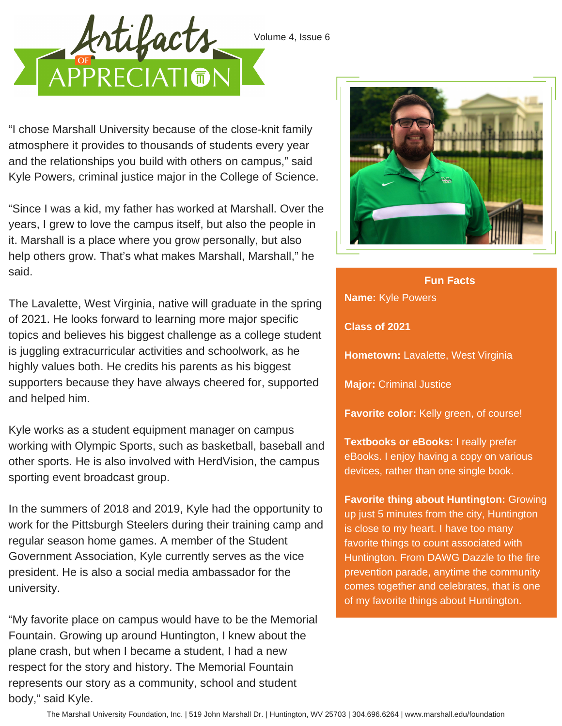



"I chose Marshall University because of the close-knit family atmosphere it provides to thousands of students every year and the relationships you build with others on campus," said Kyle Powers, criminal justice major in the College of Science.

"Since I was a kid, my father has worked at Marshall. Over the years, I grew to love the campus itself, but also the people in it. Marshall is a place where you grow personally, but also help others grow. That's what makes Marshall, Marshall," he said.

The Lavalette, West Virginia, native will graduate in the spring of 2021. He looks forward to learning more major specific topics and believes his biggest challenge as a college student is juggling extracurricular activities and schoolwork, as he highly values both. He credits his parents as his biggest supporters because they have always cheered for, supported and helped him.

Kyle works as a student equipment manager on campus working with Olympic Sports, such as basketball, baseball and other sports. He is also involved with HerdVision, the campus sporting event broadcast group.

In the summers of 2018 and 2019, Kyle had the opportunity to work for the Pittsburgh Steelers during their training camp and regular season home games. A member of the Student Government Association, Kyle currently serves as the vice president. He is also a social media ambassador for the university.

"My favorite place on campus would have to be the Memorial Fountain. Growing up around Huntington, I knew about the plane crash, but when I became a student, I had a new respect for the story and history. The Memorial Fountain represents our story as a community, school and student body," said Kyle.



**Name:** Kyle Powers **Class of 2021 Hometown:** Lavalette, West Virginia **Major:** Criminal Justice **Favorite color:** Kelly green, of course! **Fun Facts**

**Textbooks or eBooks:** I really prefer eBooks. I enjoy having a copy on various devices, rather than one single book.

**Favorite thing about Huntington:** Growing up just 5 minutes from the city, Huntington is close to my heart. I have too many favorite things to count associated with Huntington. From DAWG Dazzle to the fire prevention parade, anytime the community comes together and celebrates, that is one of my favorite things about Huntington.